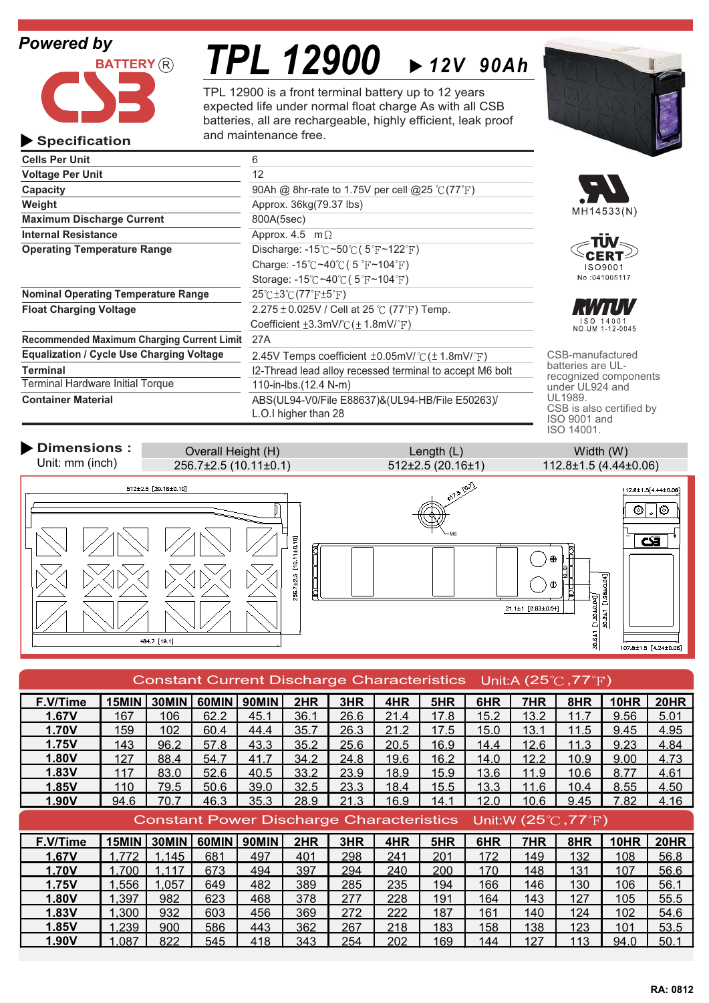## *Powered by*



# *TPL 12900 12V 90Ah*

TPL 12900 is a front terminal battery up to 12 years expected life under normal float charge As with all CSB batteries, all are rechargeable, highly efficient, leak proof and maintenance free.



L.O.I higher than 28



recognized components CSB is also certified by ISO 9001 and ISO 14001.

**Dimensions :** Width (W) Overall Height (H) Unit: mm (inch) 256.7±2.5 (10.11±0.1) 512±2.5 (20.16±1) 112.8±1.5 (4.44±0.06)  $5^{10.7}$  $512 \pm 2.5$  [20.16±0.10] 112.8±1.5[4.44±0.06]  $\overline{\circ}$  ,  $\overline{\circ}$ M6 256.7±2.5 [10.11±0.10]  $\mathbf{z}$ F Œ  $21.1 \pm 1$  [0.83±0.04]  $0.2 + 1$  $30.6 \pm 1$ 484.7 [19.1]  $107.8 \pm 1.5$  [4.24±0.06]

| Constant Current Discharge Characteristics Unit:A (25 $\degree$ C, 77 $\degree$ F) |       |       |       |              |      |      |      |      |      |      |      |      |             |
|------------------------------------------------------------------------------------|-------|-------|-------|--------------|------|------|------|------|------|------|------|------|-------------|
| F.V/Time                                                                           | 15MIN | 30MIN | 60MIN | <b>90MIN</b> | 2HR  | 3HR  | 4HR  | 5HR  | 6HR  | 7HR  | 8HR  | 10HR | <b>20HR</b> |
| 1.67V                                                                              | 167   | 106   | 62.2  | 45.1         | 36.1 | 26.6 | 21.4 | 17.8 | 15.2 | 13.2 | 11.7 | 9.56 | 5.01        |
| <b>1.70V</b>                                                                       | 159   | 102   | 60.4  | 44.4         | 35.7 | 26.3 | 21.2 | 17.5 | 15.0 | 13.1 | 11.5 | 9.45 | 4.95        |
| 1.75V                                                                              | 143   | 96.2  | 57.8  | 43.3         | 35.2 | 25.6 | 20.5 | 16.9 | 14.4 | 12.6 | 11.3 | 9.23 | 4.84        |
| 1.80V                                                                              | 127   | 88.4  | 54.7  | 41.7         | 34.2 | 24.8 | 19.6 | 16.2 | 14.0 | 12.2 | 10.9 | 9.00 | 4.73        |
| 1.83V                                                                              | 117   | 83.0  | 52.6  | 40.5         | 33.2 | 23.9 | 18.9 | 15.9 | 13.6 | 11.9 | 10.6 | 8.77 | 4.61        |
| 1.85V                                                                              | 110   | 79.5  | 50.6  | 39.0         | 32.5 | 23.3 | 18.4 | 15.5 | 13.3 | 11.6 | 10.4 | 8.55 | 4.50        |
| 1.90V                                                                              | 94.6  | 70.7  | 46.3  | 35.3         | 28.9 | 21.3 | 16.9 | 14.1 | 12.0 | 10.6 | 9.45 | 7.82 | 4.16        |
| Constant Power Discharge Characteristics Unit:W (25 $\degree$ C, 77 $\degree$ F)   |       |       |       |              |      |      |      |      |      |      |      |      |             |
|                                                                                    |       |       |       |              |      |      |      |      |      |      |      |      |             |
| F.V/Time                                                                           | 15MIN | 30MIN | 60MIN | 90MIN        | 2HR  | 3HR  | 4HR  | 5HR  | 6HR  | 7HR  | 8HR  | 10HR | 20HR        |
| 1.67V                                                                              | .772  | 1.145 | 681   | 497          | 401  | 298  | 241  | 201  | 172  | 149  | 132  | 108  | 56.8        |
| <b>1.70V</b>                                                                       | 1,700 | 1,117 | 673   | 494          | 397  | 294  | 240  | 200  | 170  | 148  | 131  | 107  | 56.6        |
| <b>1.75V</b>                                                                       | .556  | 1,057 | 649   | 482          | 389  | 285  | 235  | 194  | 166  | 146  | 130  | 106  | 56.1        |
| 1.80V                                                                              | .397  | 982   | 623   | 468          | 378  | 277  | 228  | 191  | 164  | 143  | 127  | 105  | 55.5        |
| 1.83V                                                                              | ,300  | 932   | 603   | 456          | 369  | 272  | 222  | 187  | 161  | 140  | 124  | 102  | 54.6        |
| 1.85V                                                                              | 1,239 | 900   | 586   | 443          | 362  | 267  | 218  | 183  | 158  | 138  | 123  | 101  | 53.5        |